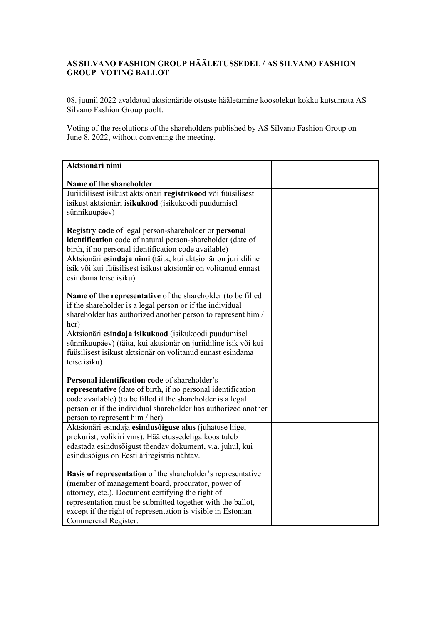## **AS SILVANO FASHION GROUP HÄÄLETUSSEDEL / AS SILVANO FASHION GROUP VOTING BALLOT**

08. juunil 2022 avaldatud aktsionäride otsuste hääletamine koosolekut kokku kutsumata AS Silvano Fashion Group poolt.

Voting of the resolutions of the shareholders published by AS Silvano Fashion Group on June 8, 2022, without convening the meeting.

| Aktsionäri nimi                                                                                                               |  |
|-------------------------------------------------------------------------------------------------------------------------------|--|
| Name of the shareholder                                                                                                       |  |
| Juriidilisest isikust aktsionäri registrikood või füüsilisest                                                                 |  |
| isikust aktsionäri isikukood (isikukoodi puudumisel                                                                           |  |
| sünnikuupäev)                                                                                                                 |  |
|                                                                                                                               |  |
| Registry code of legal person-shareholder or personal                                                                         |  |
| identification code of natural person-shareholder (date of                                                                    |  |
| birth, if no personal identification code available)<br>Aktsionäri esindaja nimi (täita, kui aktsionär on juriidiline         |  |
| isik või kui füüsilisest isikust aktsionär on volitanud ennast                                                                |  |
| esindama teise isiku)                                                                                                         |  |
|                                                                                                                               |  |
| Name of the representative of the shareholder (to be filled                                                                   |  |
| if the shareholder is a legal person or if the individual                                                                     |  |
| shareholder has authorized another person to represent him /                                                                  |  |
| her)                                                                                                                          |  |
| Aktsionäri esindaja isikukood (isikukoodi puudumisel                                                                          |  |
| sünnikuupäev) (täita, kui aktsionär on juriidiline isik või kui<br>füüsilisest isikust aktsionär on volitanud ennast esindama |  |
| teise isiku)                                                                                                                  |  |
|                                                                                                                               |  |
| Personal identification code of shareholder's                                                                                 |  |
| representative (date of birth, if no personal identification                                                                  |  |
| code available) (to be filled if the shareholder is a legal                                                                   |  |
| person or if the individual shareholder has authorized another                                                                |  |
| person to represent him / her)                                                                                                |  |
| Aktsionäri esindaja esindusõiguse alus (juhatuse liige,<br>prokurist, volikiri vms). Hääletussedeliga koos tuleb              |  |
| edastada esindusõigust tõendav dokument, v.a. juhul, kui                                                                      |  |
| esindusõigus on Eesti äriregistris nähtav.                                                                                    |  |
|                                                                                                                               |  |
| <b>Basis of representation</b> of the shareholder's representative                                                            |  |
| (member of management board, procurator, power of                                                                             |  |
| attorney, etc.). Document certifying the right of                                                                             |  |
| representation must be submitted together with the ballot,                                                                    |  |
| except if the right of representation is visible in Estonian                                                                  |  |
| Commercial Register.                                                                                                          |  |